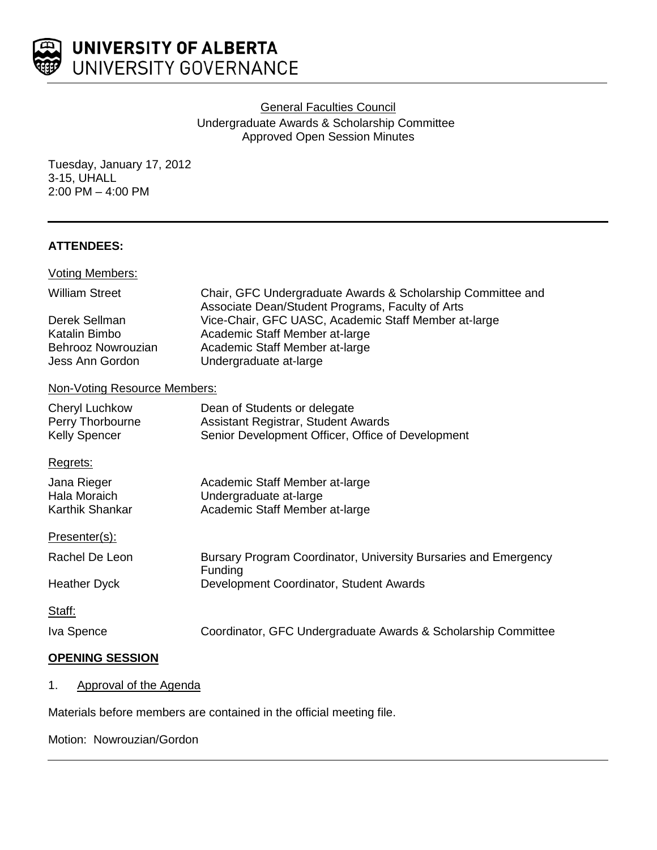

General Faculties Council Undergraduate Awards & Scholarship Committee Approved Open Session Minutes

Tuesday, January 17, 2012 3-15, UHALL 2:00 PM – 4:00 PM

### **ATTENDEES:**

| <b>Voting Members:</b>                                                  |                                                                                                                                                                                                        |
|-------------------------------------------------------------------------|--------------------------------------------------------------------------------------------------------------------------------------------------------------------------------------------------------|
| <b>William Street</b>                                                   | Chair, GFC Undergraduate Awards & Scholarship Committee and                                                                                                                                            |
| Derek Sellman<br>Katalin Bimbo<br>Behrooz Nowrouzian<br>Jess Ann Gordon | Associate Dean/Student Programs, Faculty of Arts<br>Vice-Chair, GFC UASC, Academic Staff Member at-large<br>Academic Staff Member at-large<br>Academic Staff Member at-large<br>Undergraduate at-large |
| Non-Voting Resource Members:                                            |                                                                                                                                                                                                        |
| <b>Cheryl Luchkow</b><br>Perry Thorbourne<br><b>Kelly Spencer</b>       | Dean of Students or delegate<br>Assistant Registrar, Student Awards<br>Senior Development Officer, Office of Development                                                                               |
| Regrets:                                                                |                                                                                                                                                                                                        |
| Jana Rieger<br>Hala Moraich<br>Karthik Shankar                          | Academic Staff Member at-large<br>Undergraduate at-large<br>Academic Staff Member at-large                                                                                                             |
| Presenter(s):                                                           |                                                                                                                                                                                                        |
| Rachel De Leon                                                          | Bursary Program Coordinator, University Bursaries and Emergency<br>Funding                                                                                                                             |
| <b>Heather Dyck</b>                                                     | Development Coordinator, Student Awards                                                                                                                                                                |
| Staff:                                                                  |                                                                                                                                                                                                        |
| Iva Spence                                                              | Coordinator, GFC Undergraduate Awards & Scholarship Committee                                                                                                                                          |
| <b>OPENING SESSION</b>                                                  |                                                                                                                                                                                                        |

1. Approval of the Agenda

Materials before members are contained in the official meeting file.

Motion: Nowrouzian/Gordon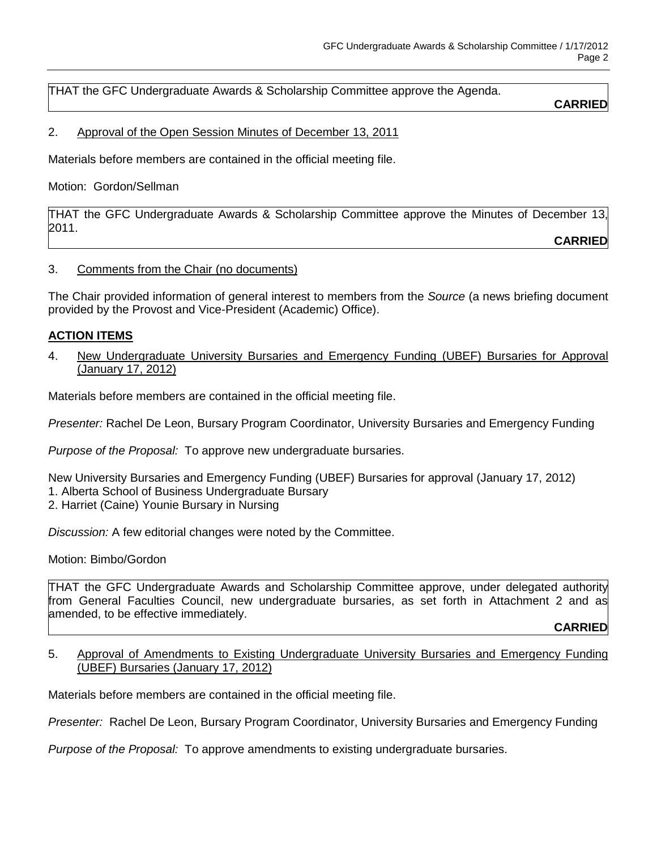THAT the GFC Undergraduate Awards & Scholarship Committee approve the Agenda.

#### **CARRIED**

2. Approval of the Open Session Minutes of December 13, 2011

Materials before members are contained in the official meeting file.

Motion: Gordon/Sellman

THAT the GFC Undergraduate Awards & Scholarship Committee approve the Minutes of December 13, 2011.

**CARRIED**

3. Comments from the Chair (no documents)

The Chair provided information of general interest to members from the *Source* (a news briefing document provided by the Provost and Vice-President (Academic) Office).

#### **ACTION ITEMS**

4. New Undergraduate University Bursaries and Emergency Funding (UBEF) Bursaries for Approval (January 17, 2012)

Materials before members are contained in the official meeting file.

*Presenter:* Rachel De Leon, Bursary Program Coordinator, University Bursaries and Emergency Funding

*Purpose of the Proposal:* To approve new undergraduate bursaries.

New University Bursaries and Emergency Funding (UBEF) Bursaries for approval (January 17, 2012) 1. Alberta School of Business Undergraduate Bursary

2. Harriet (Caine) Younie Bursary in Nursing

*Discussion:* A few editorial changes were noted by the Committee.

Motion: Bimbo/Gordon

THAT the GFC Undergraduate Awards and Scholarship Committee approve, under delegated authority from General Faculties Council, new undergraduate bursaries, as set forth in Attachment 2 and as amended, to be effective immediately.

**CARRIED**

5. Approval of Amendments to Existing Undergraduate University Bursaries and Emergency Funding (UBEF) Bursaries (January 17, 2012)

Materials before members are contained in the official meeting file.

*Presenter:* Rachel De Leon, Bursary Program Coordinator, University Bursaries and Emergency Funding

*Purpose of the Proposal:* To approve amendments to existing undergraduate bursaries.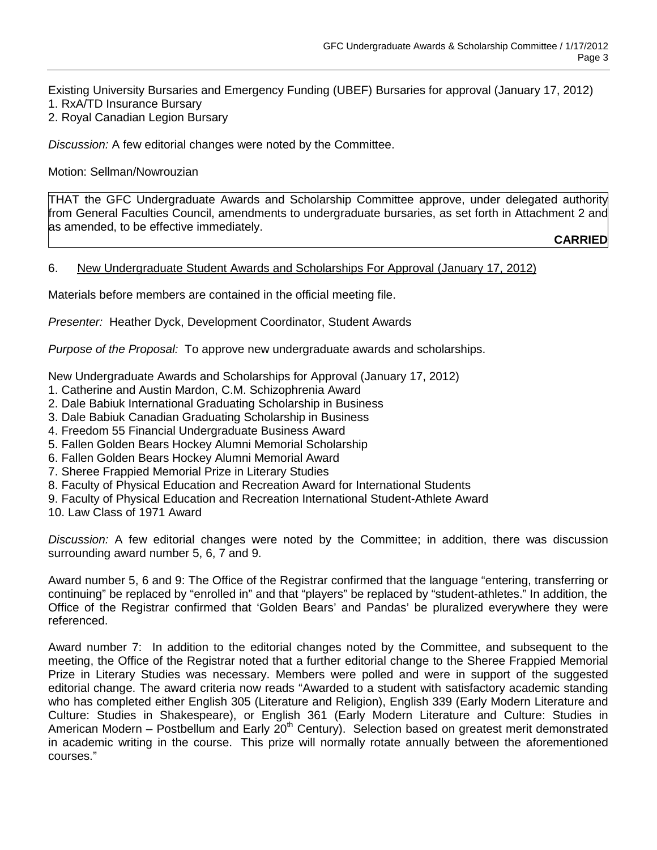Existing University Bursaries and Emergency Funding (UBEF) Bursaries for approval (January 17, 2012) 1. RxA/TD Insurance Bursary

2. Royal Canadian Legion Bursary

*Discussion:* A few editorial changes were noted by the Committee.

Motion: Sellman/Nowrouzian

THAT the GFC Undergraduate Awards and Scholarship Committee approve, under delegated authority from General Faculties Council, amendments to undergraduate bursaries, as set forth in Attachment 2 and as amended, to be effective immediately.

**CARRIED**

#### 6. New Undergraduate Student Awards and Scholarships For Approval (January 17, 2012)

Materials before members are contained in the official meeting file.

*Presenter:* Heather Dyck, Development Coordinator, Student Awards

*Purpose of the Proposal:* To approve new undergraduate awards and scholarships.

New Undergraduate Awards and Scholarships for Approval (January 17, 2012)

- 1. Catherine and Austin Mardon, C.M. Schizophrenia Award
- 2. Dale Babiuk International Graduating Scholarship in Business
- 3. Dale Babiuk Canadian Graduating Scholarship in Business
- 4. Freedom 55 Financial Undergraduate Business Award
- 5. Fallen Golden Bears Hockey Alumni Memorial Scholarship
- 6. Fallen Golden Bears Hockey Alumni Memorial Award
- 7. Sheree Frappied Memorial Prize in Literary Studies
- 8. Faculty of Physical Education and Recreation Award for International Students
- 9. Faculty of Physical Education and Recreation International Student-Athlete Award

10. Law Class of 1971 Award

*Discussion:* A few editorial changes were noted by the Committee; in addition, there was discussion surrounding award number 5, 6, 7 and 9.

Award number 5, 6 and 9: The Office of the Registrar confirmed that the language "entering, transferring or continuing" be replaced by "enrolled in" and that "players" be replaced by "student-athletes." In addition, the Office of the Registrar confirmed that 'Golden Bears' and Pandas' be pluralized everywhere they were referenced.

Award number 7: In addition to the editorial changes noted by the Committee, and subsequent to the meeting, the Office of the Registrar noted that a further editorial change to the Sheree Frappied Memorial Prize in Literary Studies was necessary. Members were polled and were in support of the suggested editorial change. The award criteria now reads "Awarded to a student with satisfactory academic standing who has completed either English 305 (Literature and Religion), English 339 (Early Modern Literature and Culture: Studies in Shakespeare), or English 361 (Early Modern Literature and Culture: Studies in American Modern – Postbellum and Early  $20<sup>th</sup>$  Century). Selection based on greatest merit demonstrated in academic writing in the course. This prize will normally rotate annually between the aforementioned courses."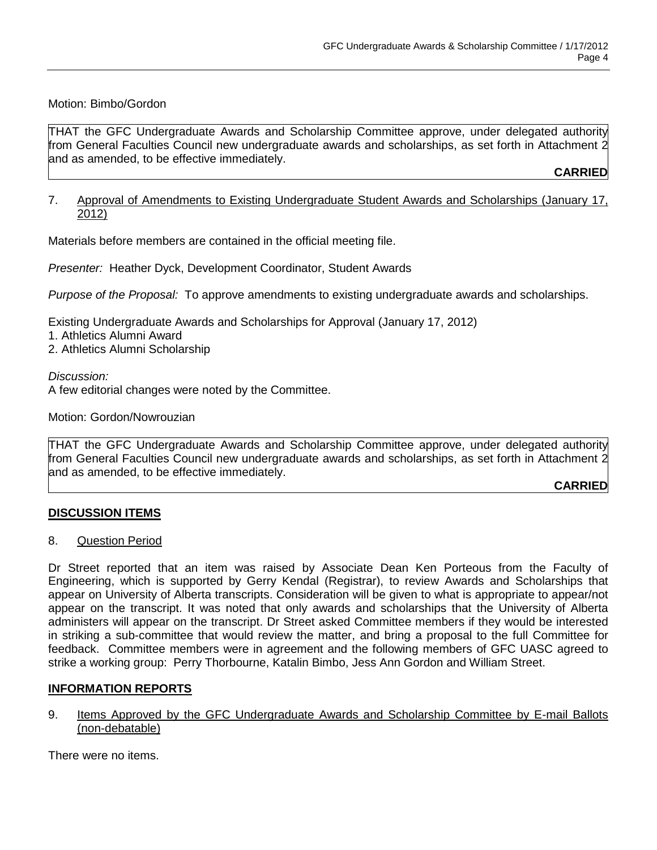#### Motion: Bimbo/Gordon

THAT the GFC Undergraduate Awards and Scholarship Committee approve, under delegated authority from General Faculties Council new undergraduate awards and scholarships, as set forth in Attachment 2 and as amended, to be effective immediately.

**CARRIED**

#### 7. Approval of Amendments to Existing Undergraduate Student Awards and Scholarships (January 17, 2012)

Materials before members are contained in the official meeting file.

*Presenter:* Heather Dyck, Development Coordinator, Student Awards

*Purpose of the Proposal:* To approve amendments to existing undergraduate awards and scholarships.

Existing Undergraduate Awards and Scholarships for Approval (January 17, 2012)

- 1. Athletics Alumni Award
- 2. Athletics Alumni Scholarship

#### *Discussion:*

A few editorial changes were noted by the Committee.

Motion: Gordon/Nowrouzian

THAT the GFC Undergraduate Awards and Scholarship Committee approve, under delegated authority from General Faculties Council new undergraduate awards and scholarships, as set forth in Attachment 2 and as amended, to be effective immediately.

### **CARRIED**

### **DISCUSSION ITEMS**

#### 8. Question Period

Dr Street reported that an item was raised by Associate Dean Ken Porteous from the Faculty of Engineering, which is supported by Gerry Kendal (Registrar), to review Awards and Scholarships that appear on University of Alberta transcripts. Consideration will be given to what is appropriate to appear/not appear on the transcript. It was noted that only awards and scholarships that the University of Alberta administers will appear on the transcript. Dr Street asked Committee members if they would be interested in striking a sub-committee that would review the matter, and bring a proposal to the full Committee for feedback. Committee members were in agreement and the following members of GFC UASC agreed to strike a working group: Perry Thorbourne, Katalin Bimbo, Jess Ann Gordon and William Street.

### **INFORMATION REPORTS**

9. Items Approved by the GFC Undergraduate Awards and Scholarship Committee by E-mail Ballots (non-debatable)

There were no items.